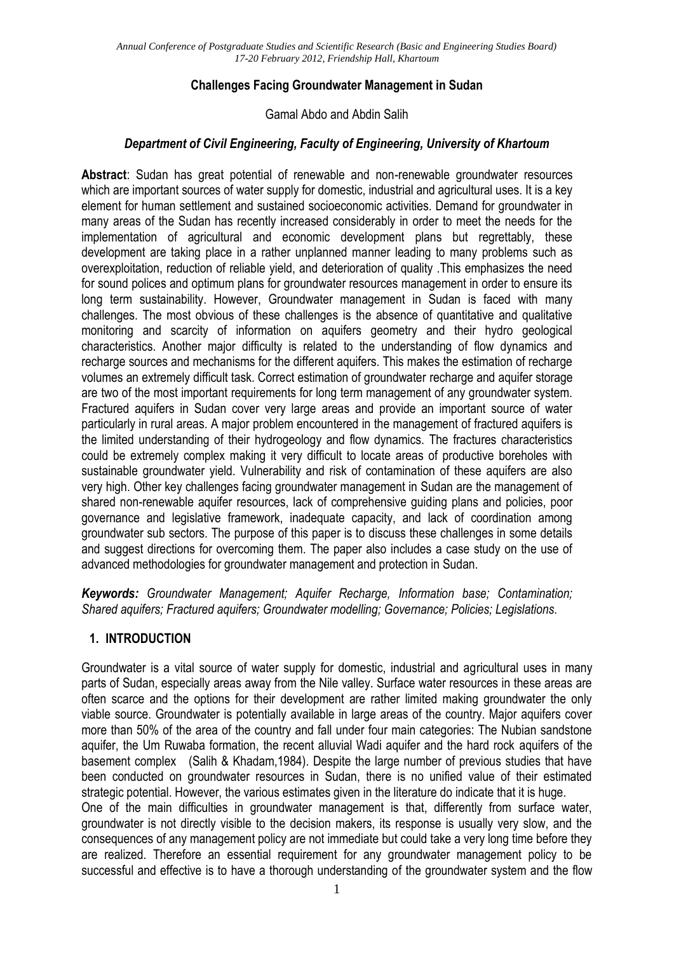## **Challenges Facing Groundwater Management in Sudan**

#### Gamal Abdo and Abdin Salih

## *Department of Civil Engineering, Faculty of Engineering, University of Khartoum*

**Abstract**: Sudan has great potential of renewable and non-renewable groundwater resources which are important sources of water supply for domestic, industrial and agricultural uses. It is a key element for human settlement and sustained socioeconomic activities. Demand for groundwater in many areas of the Sudan has recently increased considerably in order to meet the needs for the implementation of agricultural and economic development plans but regrettably, these development are taking place in a rather unplanned manner leading to many problems such as overexploitation, reduction of reliable yield, and deterioration of quality .This emphasizes the need for sound polices and optimum plans for groundwater resources management in order to ensure its long term sustainability. However, Groundwater management in Sudan is faced with many challenges. The most obvious of these challenges is the absence of quantitative and qualitative monitoring and scarcity of information on aquifers geometry and their hydro geological characteristics. Another major difficulty is related to the understanding of flow dynamics and recharge sources and mechanisms for the different aquifers. This makes the estimation of recharge volumes an extremely difficult task. Correct estimation of groundwater recharge and aquifer storage are two of the most important requirements for long term management of any groundwater system. Fractured aquifers in Sudan cover very large areas and provide an important source of water particularly in rural areas. A major problem encountered in the management of fractured aquifers is the limited understanding of their hydrogeology and flow dynamics. The fractures characteristics could be extremely complex making it very difficult to locate areas of productive boreholes with sustainable groundwater yield. Vulnerability and risk of contamination of these aquifers are also very high. Other key challenges facing groundwater management in Sudan are the management of shared non-renewable aquifer resources, lack of comprehensive guiding plans and policies, poor governance and legislative framework, inadequate capacity, and lack of coordination among groundwater sub sectors. The purpose of this paper is to discuss these challenges in some details and suggest directions for overcoming them. The paper also includes a case study on the use of advanced methodologies for groundwater management and protection in Sudan.

*Keywords: Groundwater Management; Aquifer Recharge, Information base; Contamination; Shared aquifers; Fractured aquifers; Groundwater modelling; Governance; Policies; Legislations.*

## **1. INTRODUCTION**

Groundwater is a vital source of water supply for domestic, industrial and agricultural uses in many parts of Sudan, especially areas away from the Nile valley. Surface water resources in these areas are often scarce and the options for their development are rather limited making groundwater the only viable source. Groundwater is potentially available in large areas of the country. Major aquifers cover more than 50% of the area of the country and fall under four main categories: The Nubian sandstone aquifer, the Um Ruwaba formation, the recent alluvial Wadi aquifer and the hard rock aquifers of the basement complex (Salih & Khadam,1984). Despite the large number of previous studies that have been conducted on groundwater resources in Sudan, there is no unified value of their estimated strategic potential. However, the various estimates given in the literature do indicate that it is huge. One of the main difficulties in groundwater management is that, differently from surface water, groundwater is not directly visible to the decision makers, its response is usually very slow, and the consequences of any management policy are not immediate but could take a very long time before they are realized. Therefore an essential requirement for any groundwater management policy to be successful and effective is to have a thorough understanding of the groundwater system and the flow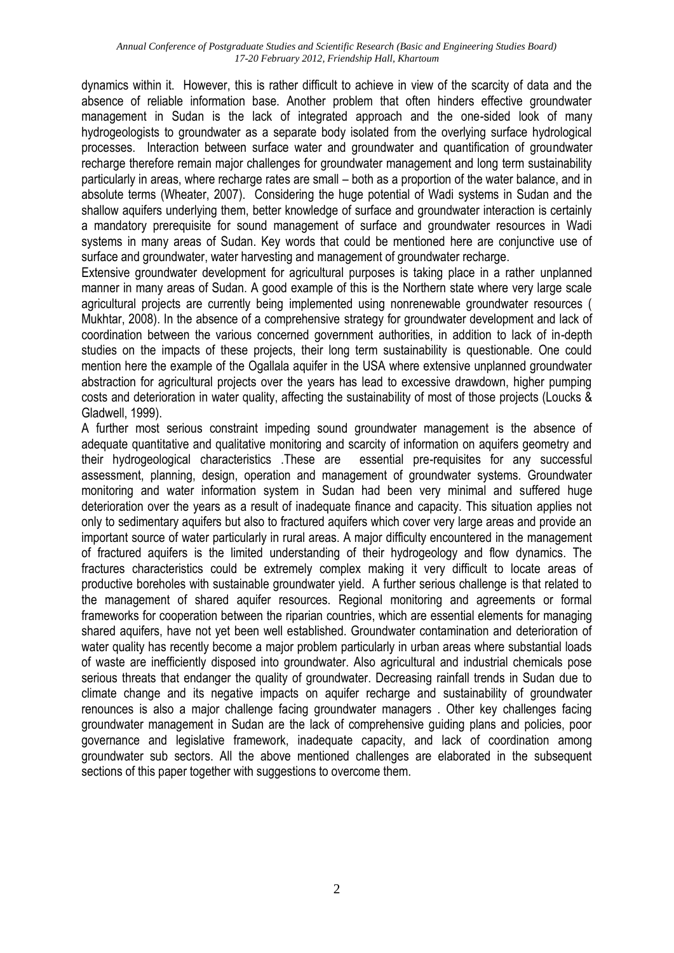dynamics within it. However, this is rather difficult to achieve in view of the scarcity of data and the absence of reliable information base. Another problem that often hinders effective groundwater management in Sudan is the lack of integrated approach and the one-sided look of many hydrogeologists to groundwater as a separate body isolated from the overlying surface hydrological processes. Interaction between surface water and groundwater and quantification of groundwater recharge therefore remain major challenges for groundwater management and long term sustainability particularly in areas, where recharge rates are small – both as a proportion of the water balance, and in absolute terms (Wheater, 2007). Considering the huge potential of Wadi systems in Sudan and the shallow aquifers underlying them, better knowledge of surface and groundwater interaction is certainly a mandatory prerequisite for sound management of surface and groundwater resources in Wadi systems in many areas of Sudan. Key words that could be mentioned here are conjunctive use of surface and groundwater, water harvesting and management of groundwater recharge.

Extensive groundwater development for agricultural purposes is taking place in a rather unplanned manner in many areas of Sudan. A good example of this is the Northern state where very large scale agricultural projects are currently being implemented using nonrenewable groundwater resources ( Mukhtar, 2008). In the absence of a comprehensive strategy for groundwater development and lack of coordination between the various concerned government authorities, in addition to lack of in-depth studies on the impacts of these projects, their long term sustainability is questionable. One could mention here the example of the Ogallala aquifer in the USA where extensive unplanned groundwater abstraction for agricultural projects over the years has lead to excessive drawdown, higher pumping costs and deterioration in water quality, affecting the sustainability of most of those projects (Loucks & Gladwell, 1999).

A further most serious constraint impeding sound groundwater management is the absence of adequate quantitative and qualitative monitoring and scarcity of information on aquifers geometry and their hydrogeological characteristics .These are essential pre-requisites for any successful assessment, planning, design, operation and management of groundwater systems. Groundwater monitoring and water information system in Sudan had been very minimal and suffered huge deterioration over the years as a result of inadequate finance and capacity. This situation applies not only to sedimentary aquifers but also to fractured aquifers which cover very large areas and provide an important source of water particularly in rural areas. A major difficulty encountered in the management of fractured aquifers is the limited understanding of their hydrogeology and flow dynamics. The fractures characteristics could be extremely complex making it very difficult to locate areas of productive boreholes with sustainable groundwater yield. A further serious challenge is that related to the management of shared aquifer resources. Regional monitoring and agreements or formal frameworks for cooperation between the riparian countries, which are essential elements for managing shared aquifers, have not yet been well established. Groundwater contamination and deterioration of water quality has recently become a major problem particularly in urban areas where substantial loads of waste are inefficiently disposed into groundwater. Also agricultural and industrial chemicals pose serious threats that endanger the quality of groundwater. Decreasing rainfall trends in Sudan due to climate change and its negative impacts on aquifer recharge and sustainability of groundwater renounces is also a major challenge facing groundwater managers . Other key challenges facing groundwater management in Sudan are the lack of comprehensive guiding plans and policies, poor governance and legislative framework, inadequate capacity, and lack of coordination among groundwater sub sectors. All the above mentioned challenges are elaborated in the subsequent sections of this paper together with suggestions to overcome them.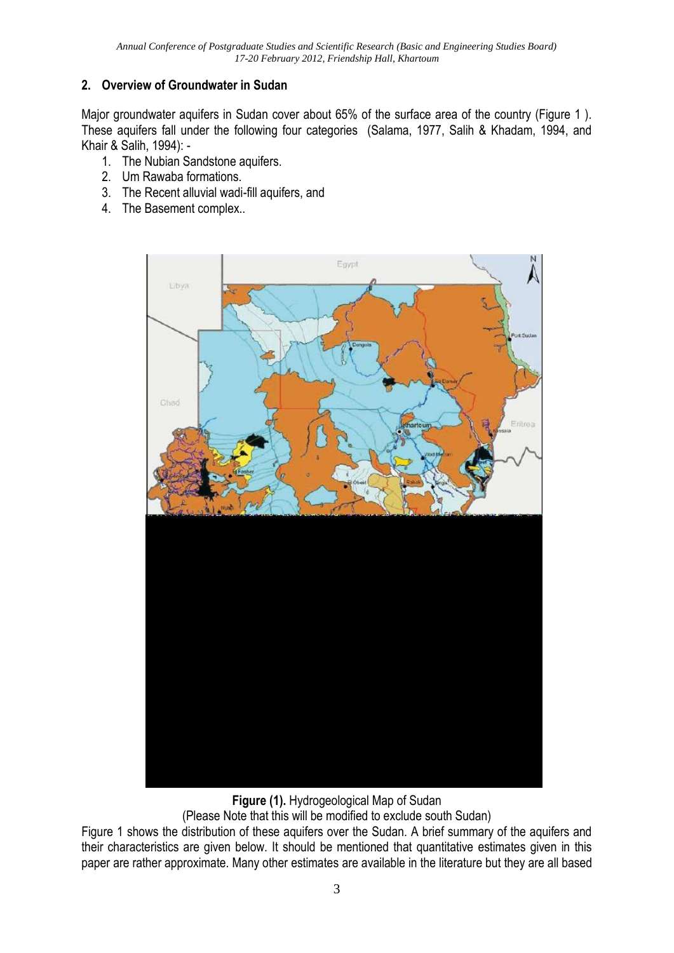## **2. Overview of Groundwater in Sudan**

Major groundwater aquifers in Sudan cover about 65% of the surface area of the country (Figure 1 ). These aquifers fall under the following four categories (Salama, 1977, Salih & Khadam, 1994, and Khair & Salih, 1994): -

- 1. The Nubian Sandstone aquifers.
- 2. Um Rawaba formations.
- 3. The Recent alluvial wadi-fill aquifers, and
- 4. The Basement complex..



**Figure (1).** Hydrogeological Map of Sudan

(Please Note that this will be modified to exclude south Sudan)

Figure 1 shows the distribution of these aquifers over the Sudan. A brief summary of the aquifers and their characteristics are given below. It should be mentioned that quantitative estimates given in this paper are rather approximate. Many other estimates are available in the literature but they are all based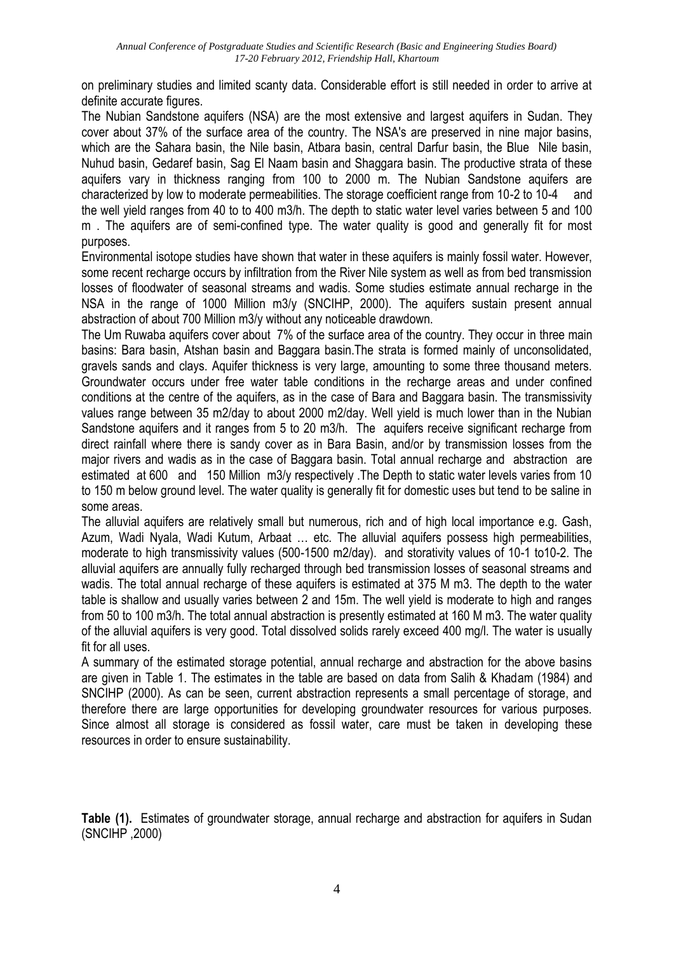on preliminary studies and limited scanty data. Considerable effort is still needed in order to arrive at definite accurate figures.

The Nubian Sandstone aquifers (NSA) are the most extensive and largest aquifers in Sudan. They cover about 37% of the surface area of the country. The NSA's are preserved in nine major basins, which are the Sahara basin, the Nile basin, Atbara basin, central Darfur basin, the Blue Nile basin, Nuhud basin, Gedaref basin, Sag El Naam basin and Shaggara basin. The productive strata of these aquifers vary in thickness ranging from 100 to 2000 m. The Nubian Sandstone aquifers are characterized by low to moderate permeabilities. The storage coefficient range from 10-2 to 10-4 and the well yield ranges from 40 to to 400 m3/h. The depth to static water level varies between 5 and 100 m . The aquifers are of semi-confined type. The water quality is good and generally fit for most purposes.

Environmental isotope studies have shown that water in these aquifers is mainly fossil water. However, some recent recharge occurs by infiltration from the River Nile system as well as from bed transmission losses of floodwater of seasonal streams and wadis. Some studies estimate annual recharge in the NSA in the range of 1000 Million m3/y (SNCIHP, 2000). The aquifers sustain present annual abstraction of about 700 Million m3/y without any noticeable drawdown.

The Um Ruwaba aquifers cover about 7% of the surface area of the country. They occur in three main basins: Bara basin, Atshan basin and Baggara basin.The strata is formed mainly of unconsolidated, gravels sands and clays. Aquifer thickness is very large, amounting to some three thousand meters. Groundwater occurs under free water table conditions in the recharge areas and under confined conditions at the centre of the aquifers, as in the case of Bara and Baggara basin. The transmissivity values range between 35 m2/day to about 2000 m2/day. Well yield is much lower than in the Nubian Sandstone aquifers and it ranges from 5 to 20 m3/h. The aquifers receive significant recharge from direct rainfall where there is sandy cover as in Bara Basin, and/or by transmission losses from the major rivers and wadis as in the case of Baggara basin. Total annual recharge and abstraction are estimated at 600 and 150 Million m3/y respectively .The Depth to static water levels varies from 10 to 150 m below ground level. The water quality is generally fit for domestic uses but tend to be saline in some areas.

The alluvial aquifers are relatively small but numerous, rich and of high local importance e.g. Gash, Azum, Wadi Nyala, Wadi Kutum, Arbaat … etc. The alluvial aquifers possess high permeabilities, moderate to high transmissivity values (500-1500 m2/day). and storativity values of 10-1 to10-2. The alluvial aquifers are annually fully recharged through bed transmission losses of seasonal streams and wadis. The total annual recharge of these aquifers is estimated at 375 M m3. The depth to the water table is shallow and usually varies between 2 and 15m. The well yield is moderate to high and ranges from 50 to 100 m3/h. The total annual abstraction is presently estimated at 160 M m3. The water quality of the alluvial aquifers is very good. Total dissolved solids rarely exceed 400 mg/l. The water is usually fit for all uses.

A summary of the estimated storage potential, annual recharge and abstraction for the above basins are given in Table 1. The estimates in the table are based on data from Salih & Khadam (1984) and SNCIHP (2000). As can be seen, current abstraction represents a small percentage of storage, and therefore there are large opportunities for developing groundwater resources for various purposes. Since almost all storage is considered as fossil water, care must be taken in developing these resources in order to ensure sustainability.

**Table (1).** Estimates of groundwater storage, annual recharge and abstraction for aquifers in Sudan (SNCIHP ,2000)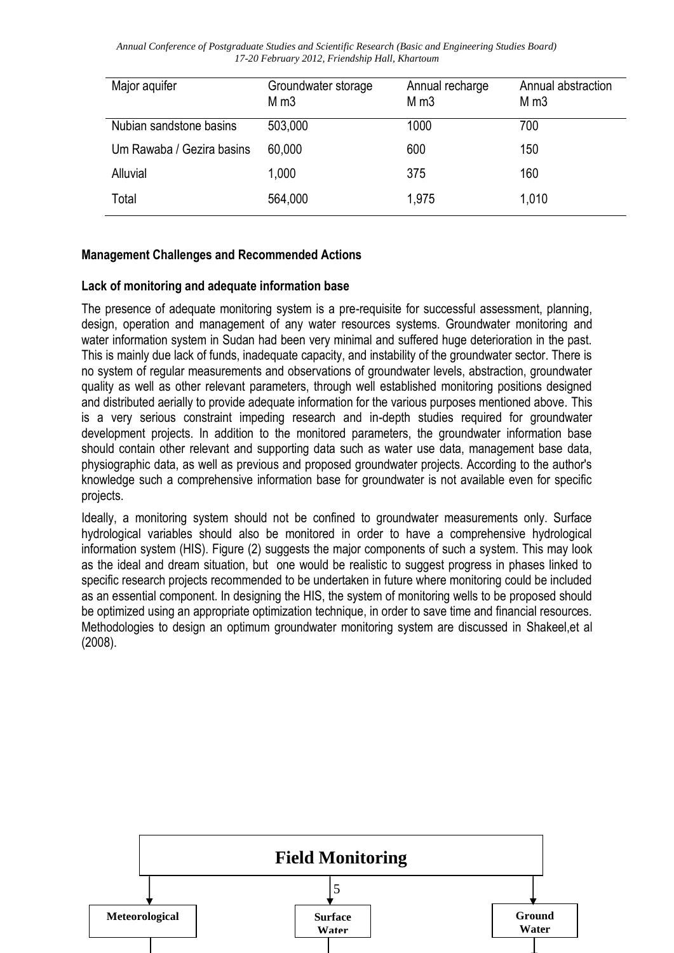| Major aquifer             | Groundwater storage<br>M <sub>m3</sub> | Annual recharge<br>M <sub>m3</sub> | Annual abstraction<br>M <sub>m3</sub> |
|---------------------------|----------------------------------------|------------------------------------|---------------------------------------|
| Nubian sandstone basins   | 503,000                                | 1000                               | 700                                   |
| Um Rawaba / Gezira basins | 60,000                                 | 600                                | 150                                   |
| Alluvial                  | 1,000                                  | 375                                | 160                                   |
| Total                     | 564,000                                | 1,975                              | 1,010                                 |

#### **Management Challenges and Recommended Actions**

#### **Lack of monitoring and adequate information base**

The presence of adequate monitoring system is a pre-requisite for successful assessment, planning, design, operation and management of any water resources systems. Groundwater monitoring and water information system in Sudan had been very minimal and suffered huge deterioration in the past. This is mainly due lack of funds, inadequate capacity, and instability of the groundwater sector. There is no system of regular measurements and observations of groundwater levels, abstraction, groundwater quality as well as other relevant parameters, through well established monitoring positions designed and distributed aerially to provide adequate information for the various purposes mentioned above. This is a very serious constraint impeding research and in-depth studies required for groundwater development projects. In addition to the monitored parameters, the groundwater information base should contain other relevant and supporting data such as water use data, management base data, physiographic data, as well as previous and proposed groundwater projects. According to the author's knowledge such a comprehensive information base for groundwater is not available even for specific projects.

Ideally, a monitoring system should not be confined to groundwater measurements only. Surface hydrological variables should also be monitored in order to have a comprehensive hydrological information system (HIS). Figure (2) suggests the major components of such a system. This may look as the ideal and dream situation, but one would be realistic to suggest progress in phases linked to specific research projects recommended to be undertaken in future where monitoring could be included as an essential component. In designing the HIS, the system of monitoring wells to be proposed should be optimized using an appropriate optimization technique, in order to save time and financial resources. Methodologies to design an optimum groundwater monitoring system are discussed in Shakeel, et al (2008).

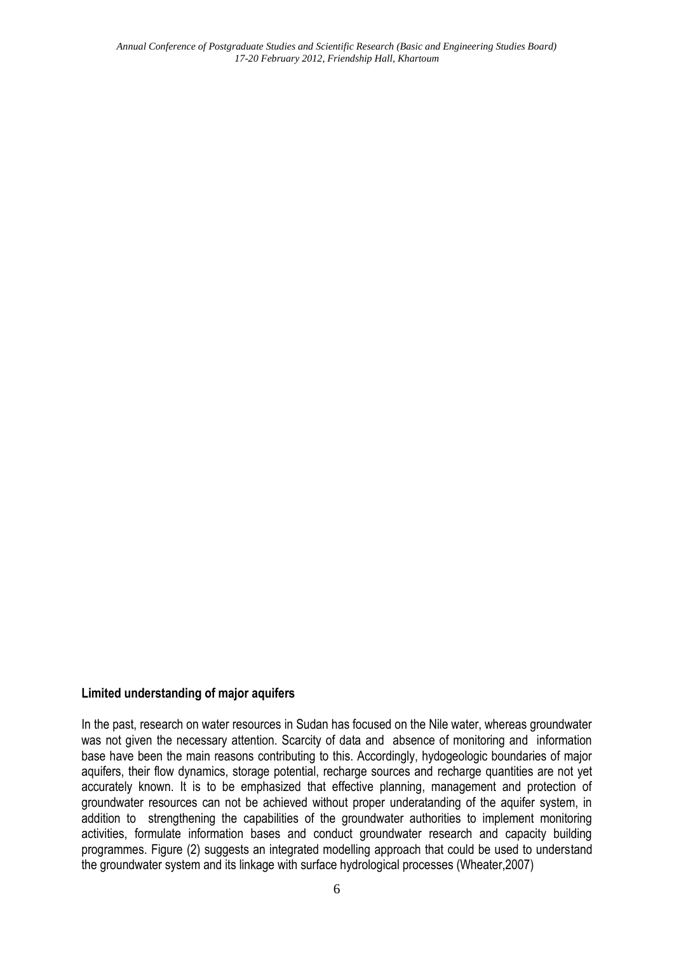#### **Limited understanding of major aquifers**

In the past, research on water resources in Sudan has focused on the Nile water, whereas groundwater was not given the necessary attention. Scarcity of data and absence of monitoring and information base have been the main reasons contributing to this. Accordingly, hydogeologic boundaries of major aquifers, their flow dynamics, storage potential, recharge sources and recharge quantities are not yet accurately known. It is to be emphasized that effective planning, management and protection of groundwater resources can not be achieved without proper underatanding of the aquifer system, in addition to strengthening the capabilities of the groundwater authorities to implement monitoring activities, formulate information bases and conduct groundwater research and capacity building programmes. Figure (2) suggests an integrated modelling approach that could be used to understand the groundwater system and its linkage with surface hydrological processes (Wheater,2007)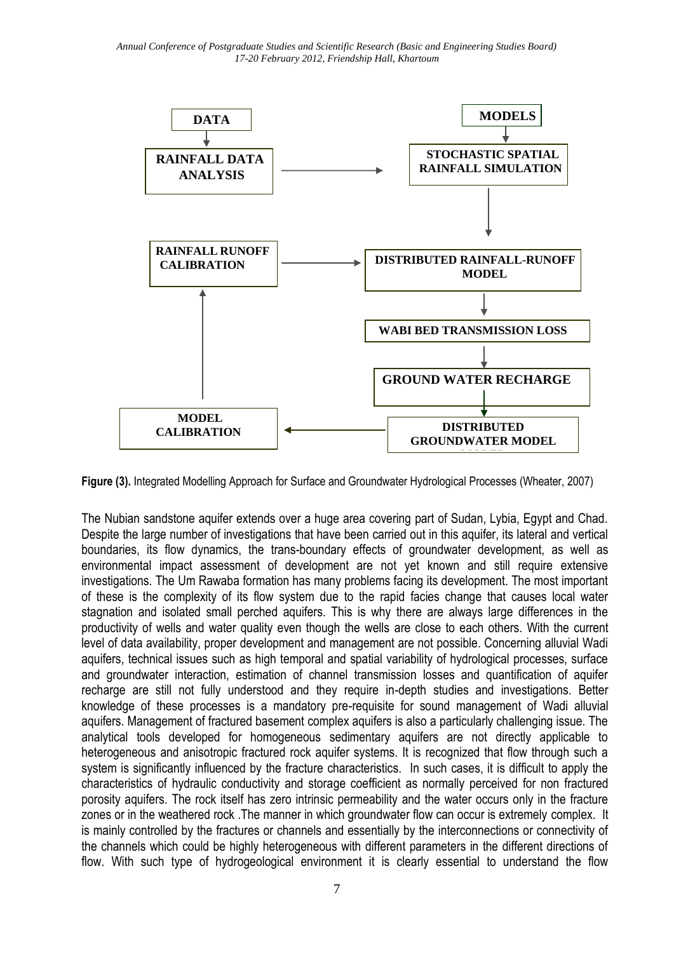

**Figure (3).** Integrated Modelling Approach for Surface and Groundwater Hydrological Processes (Wheater, 2007)

The Nubian sandstone aquifer extends over a huge area covering part of Sudan, Lybia, Egypt and Chad. Despite the large number of investigations that have been carried out in this aquifer, its lateral and vertical boundaries, its flow dynamics, the trans-boundary effects of groundwater development, as well as environmental impact assessment of development are not yet known and still require extensive investigations. The Um Rawaba formation has many problems facing its development. The most important of these is the complexity of its flow system due to the rapid facies change that causes local water stagnation and isolated small perched aquifers. This is why there are always large differences in the productivity of wells and water quality even though the wells are close to each others. With the current level of data availability, proper development and management are not possible. Concerning alluvial Wadi aquifers, technical issues such as high temporal and spatial variability of hydrological processes, surface and groundwater interaction, estimation of channel transmission losses and quantification of aquifer recharge are still not fully understood and they require in-depth studies and investigations. Better knowledge of these processes is a mandatory pre-requisite for sound management of Wadi alluvial aquifers. Management of fractured basement complex aquifers is also a particularly challenging issue. The analytical tools developed for homogeneous sedimentary aquifers are not directly applicable to heterogeneous and anisotropic fractured rock aquifer systems. It is recognized that flow through such a system is significantly influenced by the fracture characteristics. In such cases, it is difficult to apply the characteristics of hydraulic conductivity and storage coefficient as normally perceived for non fractured porosity aquifers. The rock itself has zero intrinsic permeability and the water occurs only in the fracture zones or in the weathered rock .The manner in which groundwater flow can occur is extremely complex. It is mainly controlled by the fractures or channels and essentially by the interconnections or connectivity of the channels which could be highly heterogeneous with different parameters in the different directions of flow. With such type of hydrogeological environment it is clearly essential to understand the flow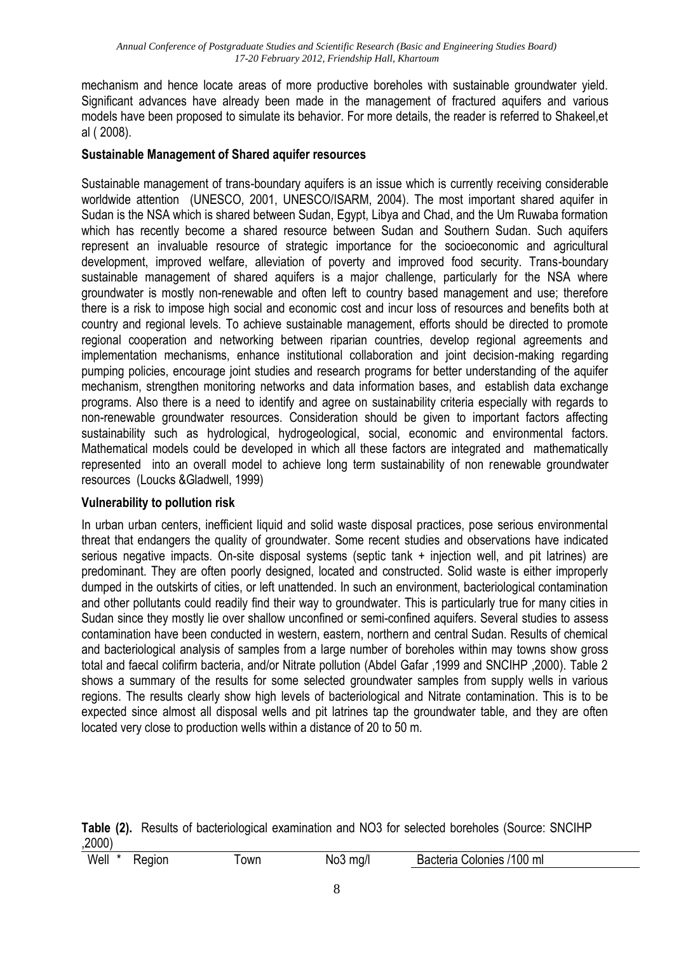mechanism and hence locate areas of more productive boreholes with sustainable groundwater yield. Significant advances have already been made in the management of fractured aquifers and various models have been proposed to simulate its behavior. For more details, the reader is referred to Shakeel,et al ( 2008).

#### **Sustainable Management of Shared aquifer resources**

Sustainable management of trans-boundary aquifers is an issue which is currently receiving considerable worldwide attention (UNESCO, 2001, UNESCO/ISARM, 2004). The most important shared aquifer in Sudan is the NSA which is shared between Sudan, Egypt, Libya and Chad, and the Um Ruwaba formation which has recently become a shared resource between Sudan and Southern Sudan. Such aquifers represent an invaluable resource of strategic importance for the socioeconomic and agricultural development, improved welfare, alleviation of poverty and improved food security. Trans-boundary sustainable management of shared aquifers is a major challenge, particularly for the NSA where groundwater is mostly non-renewable and often left to country based management and use; therefore there is a risk to impose high social and economic cost and incur loss of resources and benefits both at country and regional levels. To achieve sustainable management, efforts should be directed to promote regional cooperation and networking between riparian countries, develop regional agreements and implementation mechanisms, enhance institutional collaboration and joint decision-making regarding pumping policies, encourage joint studies and research programs for better understanding of the aquifer mechanism, strengthen monitoring networks and data information bases, and establish data exchange programs. Also there is a need to identify and agree on sustainability criteria especially with regards to non-renewable groundwater resources. Consideration should be given to important factors affecting sustainability such as hydrological, hydrogeological, social, economic and environmental factors. Mathematical models could be developed in which all these factors are integrated and mathematically represented into an overall model to achieve long term sustainability of non renewable groundwater resources (Loucks &Gladwell, 1999)

#### **Vulnerability to pollution risk**

In urban urban centers, inefficient liquid and solid waste disposal practices, pose serious environmental threat that endangers the quality of groundwater. Some recent studies and observations have indicated serious negative impacts. On-site disposal systems (septic tank + injection well, and pit latrines) are predominant. They are often poorly designed, located and constructed. Solid waste is either improperly dumped in the outskirts of cities, or left unattended. In such an environment, bacteriological contamination and other pollutants could readily find their way to groundwater. This is particularly true for many cities in Sudan since they mostly lie over shallow unconfined or semi-confined aquifers. Several studies to assess contamination have been conducted in western, eastern, northern and central Sudan. Results of chemical and bacteriological analysis of samples from a large number of boreholes within may towns show gross total and faecal colifirm bacteria, and/or Nitrate pollution (Abdel Gafar ,1999 and SNCIHP ,2000). Table 2 shows a summary of the results for some selected groundwater samples from supply wells in various regions. The results clearly show high levels of bacteriological and Nitrate contamination. This is to be expected since almost all disposal wells and pit latrines tap the groundwater table, and they are often located very close to production wells within a distance of 20 to 50 m.

|        | Table (2). Results of bacteriological examination and NO3 for selected boreholes (Source: SNCIHP |  |  |  |
|--------|--------------------------------------------------------------------------------------------------|--|--|--|
| ,2000) |                                                                                                  |  |  |  |

| Well<br>/100<br>Bacteria<br>noipe<br>ml<br>∂ olonies<br>own<br>ma/<br>™0J |  |
|---------------------------------------------------------------------------|--|
|---------------------------------------------------------------------------|--|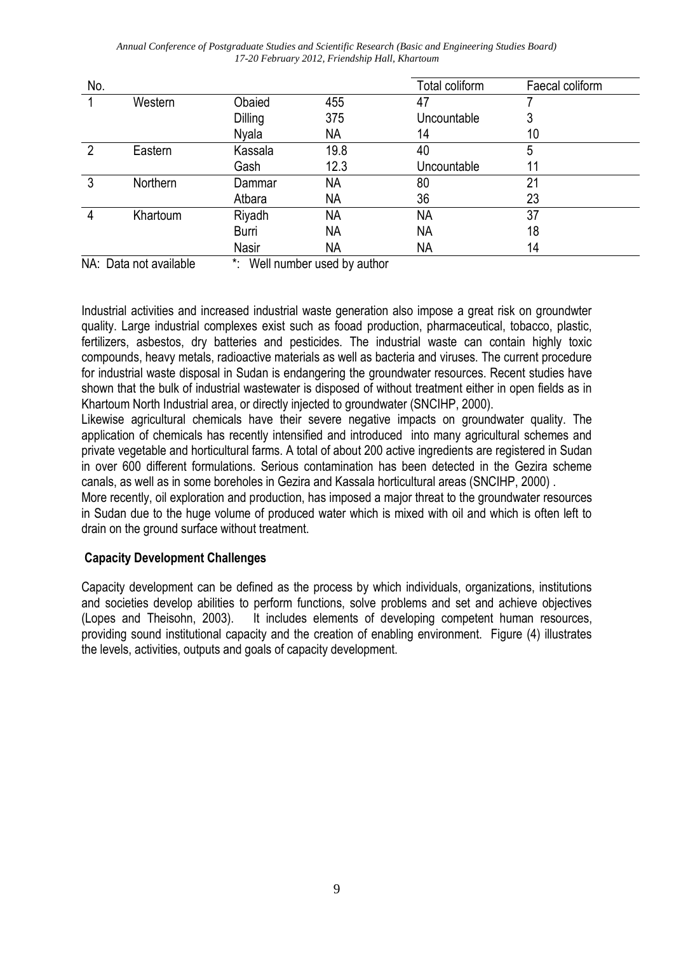| No.            |          |                |                  | Total coliform | Faecal coliform |
|----------------|----------|----------------|------------------|----------------|-----------------|
|                | Western  | Obaied         | 455              | 47             |                 |
|                |          | <b>Dilling</b> | 375              | Uncountable    | 3               |
|                |          | Nyala          | NA               | 14             | 10              |
| $\overline{2}$ | Eastern  | Kassala        | 19.8             | 40             | 5               |
|                |          | Gash           | 12.3             | Uncountable    | 11              |
| 3              | Northern | Dammar         | <b>NA</b>        | 80             | 21              |
|                |          | Atbara         | <b>NA</b>        | 36             | 23              |
| 4              | Khartoum | Riyadh         | <b>NA</b>        | NA             | 37              |
|                |          | Burri          | <b>NA</b>        | <b>NA</b>      | 18              |
|                |          | <b>Nasir</b>   | <b>NA</b>        | NА             | 14              |
|                | .<br>.   | .              | . .<br>$\cdot$ . |                |                 |

NA: Data not available  $\cdot$  \*: Well number used by author

Industrial activities and increased industrial waste generation also impose a great risk on groundwter quality. Large industrial complexes exist such as fooad production, pharmaceutical, tobacco, plastic, fertilizers, asbestos, dry batteries and pesticides. The industrial waste can contain highly toxic compounds, heavy metals, radioactive materials as well as bacteria and viruses. The current procedure for industrial waste disposal in Sudan is endangering the groundwater resources. Recent studies have shown that the bulk of industrial wastewater is disposed of without treatment either in open fields as in Khartoum North Industrial area, or directly injected to groundwater (SNCIHP, 2000).

Likewise agricultural chemicals have their severe negative impacts on groundwater quality. The application of chemicals has recently intensified and introduced into many agricultural schemes and private vegetable and horticultural farms. A total of about 200 active ingredients are registered in Sudan in over 600 different formulations. Serious contamination has been detected in the Gezira scheme canals, as well as in some boreholes in Gezira and Kassala horticultural areas (SNCIHP, 2000) .

More recently, oil exploration and production, has imposed a major threat to the groundwater resources in Sudan due to the huge volume of produced water which is mixed with oil and which is often left to drain on the ground surface without treatment.

## **Capacity Development Challenges**

Capacity development can be defined as the process by which individuals, organizations, institutions and societies develop abilities to perform functions, solve problems and set and achieve objectives (Lopes and Theisohn, 2003). It includes elements of developing competent human resources, providing sound institutional capacity and the creation of enabling environment. Figure (4) illustrates the levels, activities, outputs and goals of capacity development.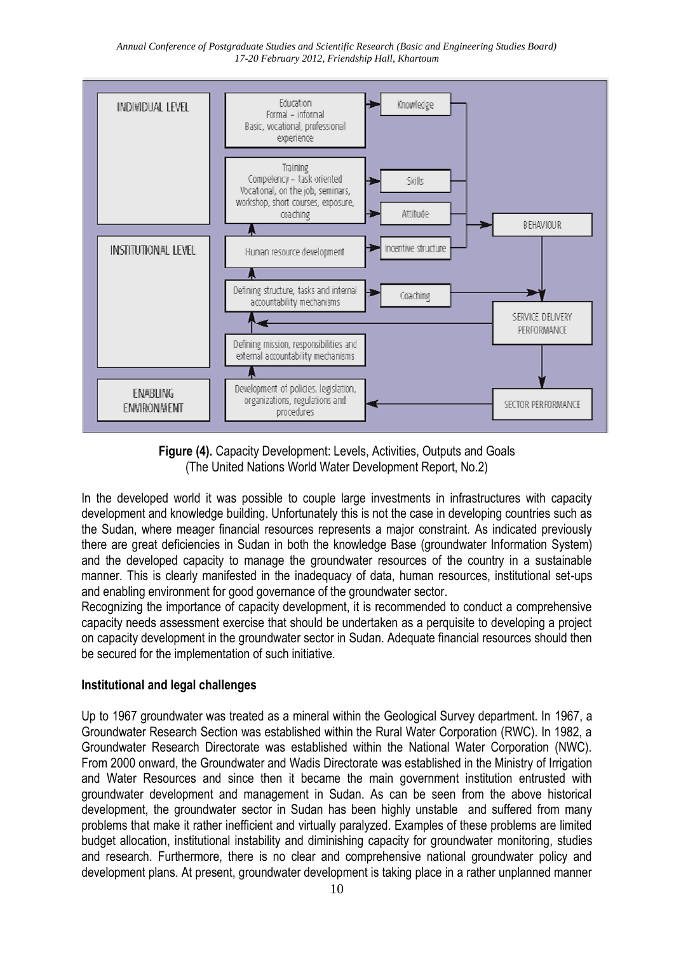



In the developed world it was possible to couple large investments in infrastructures with capacity development and knowledge building. Unfortunately this is not the case in developing countries such as the Sudan, where meager financial resources represents a major constraint. As indicated previously there are great deficiencies in Sudan in both the knowledge Base (groundwater Information System) and the developed capacity to manage the groundwater resources of the country in a sustainable manner. This is clearly manifested in the inadequacy of data, human resources, institutional set-ups and enabling environment for good governance of the groundwater sector.

Recognizing the importance of capacity development, it is recommended to conduct a comprehensive capacity needs assessment exercise that should be undertaken as a perquisite to developing a project on capacity development in the groundwater sector in Sudan. Adequate financial resources should then be secured for the implementation of such initiative.

#### **Institutional and legal challenges**

Up to 1967 groundwater was treated as a mineral within the Geological Survey department. In 1967, a Groundwater Research Section was established within the Rural Water Corporation (RWC). In 1982, a Groundwater Research Directorate was established within the National Water Corporation (NWC). From 2000 onward, the Groundwater and Wadis Directorate was established in the Ministry of Irrigation and Water Resources and since then it became the main government institution entrusted with groundwater development and management in Sudan. As can be seen from the above historical development, the groundwater sector in Sudan has been highly unstable and suffered from many problems that make it rather inefficient and virtually paralyzed. Examples of these problems are limited budget allocation, institutional instability and diminishing capacity for groundwater monitoring, studies and research. Furthermore, there is no clear and comprehensive national groundwater policy and development plans. At present, groundwater development is taking place in a rather unplanned manner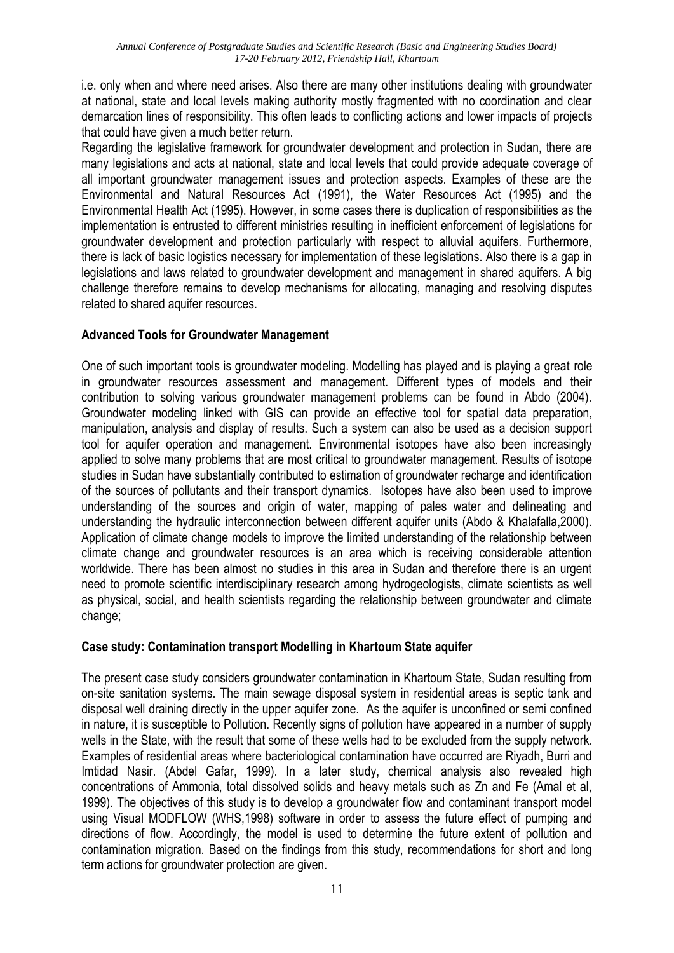i.e. only when and where need arises. Also there are many other institutions dealing with groundwater at national, state and local levels making authority mostly fragmented with no coordination and clear demarcation lines of responsibility. This often leads to conflicting actions and lower impacts of projects that could have given a much better return.

Regarding the legislative framework for groundwater development and protection in Sudan, there are many legislations and acts at national, state and local levels that could provide adequate coverage of all important groundwater management issues and protection aspects. Examples of these are the Environmental and Natural Resources Act (1991), the Water Resources Act (1995) and the Environmental Health Act (1995). However, in some cases there is duplication of responsibilities as the implementation is entrusted to different ministries resulting in inefficient enforcement of legislations for groundwater development and protection particularly with respect to alluvial aquifers. Furthermore, there is lack of basic logistics necessary for implementation of these legislations. Also there is a gap in legislations and laws related to groundwater development and management in shared aquifers. A big challenge therefore remains to develop mechanisms for allocating, managing and resolving disputes related to shared aquifer resources.

## **Advanced Tools for Groundwater Management**

One of such important tools is groundwater modeling. Modelling has played and is playing a great role in groundwater resources assessment and management. Different types of models and their contribution to solving various groundwater management problems can be found in Abdo (2004). Groundwater modeling linked with GIS can provide an effective tool for spatial data preparation, manipulation, analysis and display of results. Such a system can also be used as a decision support tool for aquifer operation and management. Environmental isotopes have also been increasingly applied to solve many problems that are most critical to groundwater management. Results of isotope studies in Sudan have substantially contributed to estimation of groundwater recharge and identification of the sources of pollutants and their transport dynamics. Isotopes have also been used to improve understanding of the sources and origin of water, mapping of pales water and delineating and understanding the hydraulic interconnection between different aquifer units (Abdo & Khalafalla,2000). Application of climate change models to improve the limited understanding of the relationship between climate change and groundwater resources is an area which is receiving considerable attention worldwide. There has been almost no studies in this area in Sudan and therefore there is an urgent need to promote scientific interdisciplinary research among hydrogeologists, climate scientists as well as physical, social, and health scientists regarding the relationship between groundwater and climate change:

#### **Case study: Contamination transport Modelling in Khartoum State aquifer**

The present case study considers groundwater contamination in Khartoum State, Sudan resulting from on-site sanitation systems. The main sewage disposal system in residential areas is septic tank and disposal well draining directly in the upper aquifer zone. As the aquifer is unconfined or semi confined in nature, it is susceptible to Pollution. Recently signs of pollution have appeared in a number of supply wells in the State, with the result that some of these wells had to be excluded from the supply network. Examples of residential areas where bacteriological contamination have occurred are Riyadh, Burri and Imtidad Nasir. (Abdel Gafar, 1999). In a later study, chemical analysis also revealed high concentrations of Ammonia, total dissolved solids and heavy metals such as Zn and Fe (Amal et al, 1999). The objectives of this study is to develop a groundwater flow and contaminant transport model using Visual MODFLOW (WHS,1998) software in order to assess the future effect of pumping and directions of flow. Accordingly, the model is used to determine the future extent of pollution and contamination migration. Based on the findings from this study, recommendations for short and long term actions for groundwater protection are given.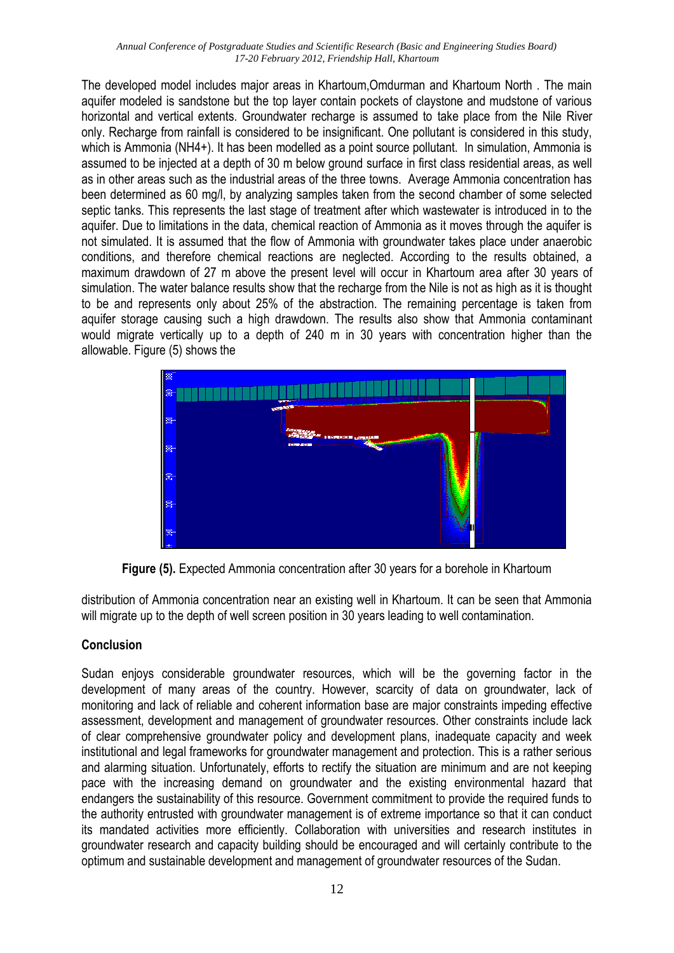The developed model includes major areas in Khartoum,Omdurman and Khartoum North . The main aquifer modeled is sandstone but the top layer contain pockets of claystone and mudstone of various horizontal and vertical extents. Groundwater recharge is assumed to take place from the Nile River only. Recharge from rainfall is considered to be insignificant. One pollutant is considered in this study, which is Ammonia (NH4+). It has been modelled as a point source pollutant. In simulation, Ammonia is assumed to be injected at a depth of 30 m below ground surface in first class residential areas, as well as in other areas such as the industrial areas of the three towns. Average Ammonia concentration has been determined as 60 mg/l, by analyzing samples taken from the second chamber of some selected septic tanks. This represents the last stage of treatment after which wastewater is introduced in to the aquifer. Due to limitations in the data, chemical reaction of Ammonia as it moves through the aquifer is not simulated. It is assumed that the flow of Ammonia with groundwater takes place under anaerobic conditions, and therefore chemical reactions are neglected. According to the results obtained, a maximum drawdown of 27 m above the present level will occur in Khartoum area after 30 years of simulation. The water balance results show that the recharge from the Nile is not as high as it is thought to be and represents only about 25% of the abstraction. The remaining percentage is taken from aquifer storage causing such a high drawdown. The results also show that Ammonia contaminant would migrate vertically up to a depth of 240 m in 30 years with concentration higher than the allowable. Figure (5) shows the



**Figure (5).** Expected Ammonia concentration after 30 years for a borehole in Khartoum

distribution of Ammonia concentration near an existing well in Khartoum. It can be seen that Ammonia will migrate up to the depth of well screen position in 30 years leading to well contamination.

## **Conclusion**

Sudan enjoys considerable groundwater resources, which will be the governing factor in the development of many areas of the country. However, scarcity of data on groundwater, lack of monitoring and lack of reliable and coherent information base are major constraints impeding effective assessment, development and management of groundwater resources. Other constraints include lack of clear comprehensive groundwater policy and development plans, inadequate capacity and week institutional and legal frameworks for groundwater management and protection. This is a rather serious and alarming situation. Unfortunately, efforts to rectify the situation are minimum and are not keeping pace with the increasing demand on groundwater and the existing environmental hazard that endangers the sustainability of this resource. Government commitment to provide the required funds to the authority entrusted with groundwater management is of extreme importance so that it can conduct its mandated activities more efficiently. Collaboration with universities and research institutes in groundwater research and capacity building should be encouraged and will certainly contribute to the optimum and sustainable development and management of groundwater resources of the Sudan.